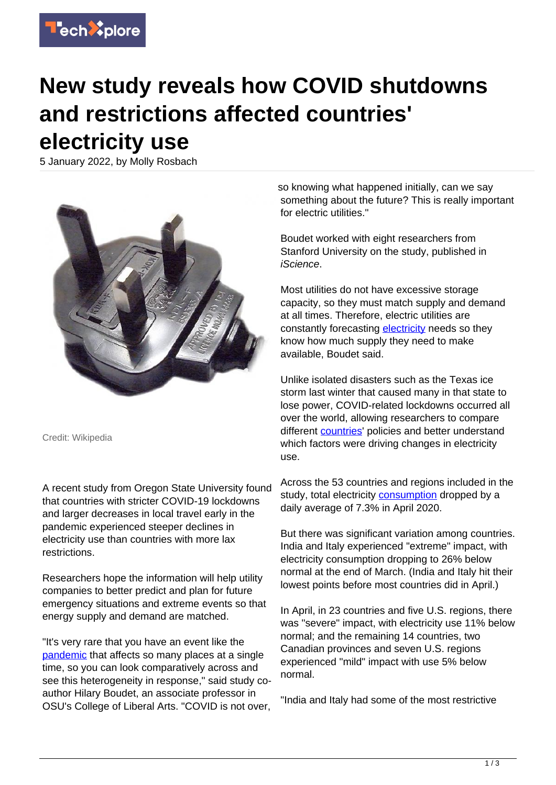

## **New study reveals how COVID shutdowns and restrictions affected countries' electricity use**

5 January 2022, by Molly Rosbach



Credit: Wikipedia

A recent study from Oregon State University found that countries with stricter COVID-19 lockdowns and larger decreases in local travel early in the pandemic experienced steeper declines in electricity use than countries with more lax restrictions.

Researchers hope the information will help utility companies to better predict and plan for future emergency situations and extreme events so that energy supply and demand are matched.

"It's very rare that you have an event like the [pandemic](https://techxplore.com/tags/pandemic/) that affects so many places at a single time, so you can look comparatively across and see this heterogeneity in response," said study coauthor Hilary Boudet, an associate professor in OSU's College of Liberal Arts. "COVID is not over,

so knowing what happened initially, can we say something about the future? This is really important for electric utilities."

Boudet worked with eight researchers from Stanford University on the study, published in iScience.

Most utilities do not have excessive storage capacity, so they must match supply and demand at all times. Therefore, electric utilities are constantly forecasting [electricity](https://techxplore.com/tags/electricity/) needs so they know how much supply they need to make available, Boudet said.

Unlike isolated disasters such as the Texas ice storm last winter that caused many in that state to lose power, COVID-related lockdowns occurred all over the world, allowing researchers to compare different [countries](https://techxplore.com/tags/countries/)' policies and better understand which factors were driving changes in electricity use.

Across the 53 countries and regions included in the study, total electricity [consumption](https://techxplore.com/tags/consumption/) dropped by a daily average of 7.3% in April 2020.

But there was significant variation among countries. India and Italy experienced "extreme" impact, with electricity consumption dropping to 26% below normal at the end of March. (India and Italy hit their lowest points before most countries did in April.)

In April, in 23 countries and five U.S. regions, there was "severe" impact, with electricity use 11% below normal; and the remaining 14 countries, two Canadian provinces and seven U.S. regions experienced "mild" impact with use 5% below normal.

"India and Italy had some of the most restrictive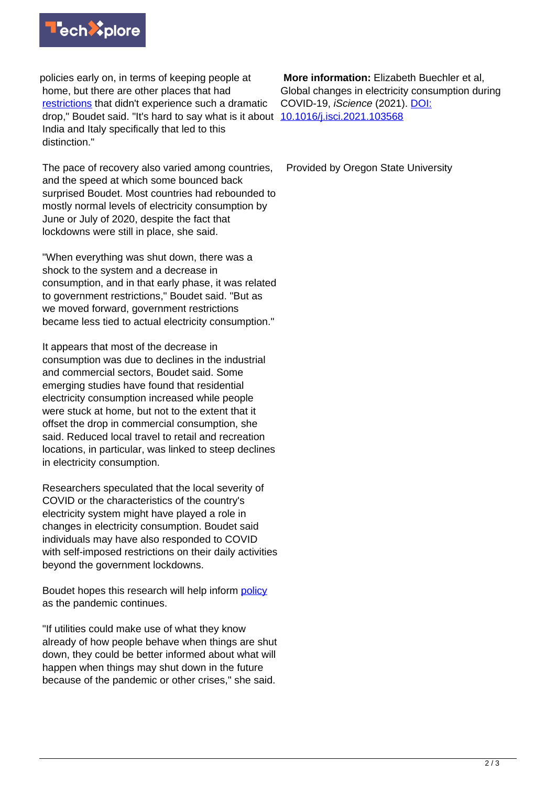

policies early on, in terms of keeping people at home, but there are other places that had [restrictions](https://techxplore.com/tags/restrictions/) that didn't experience such a dramatic drop," Boudet said. "It's hard to say what is it about [10.1016/j.isci.2021.103568](http://dx.doi.org/10.1016/j.isci.2021.103568) India and Italy specifically that led to this distinction."

The pace of recovery also varied among countries, and the speed at which some bounced back surprised Boudet. Most countries had rebounded to mostly normal levels of electricity consumption by June or July of 2020, despite the fact that lockdowns were still in place, she said.

"When everything was shut down, there was a shock to the system and a decrease in consumption, and in that early phase, it was related to government restrictions," Boudet said. "But as we moved forward, government restrictions became less tied to actual electricity consumption."

It appears that most of the decrease in consumption was due to declines in the industrial and commercial sectors, Boudet said. Some emerging studies have found that residential electricity consumption increased while people were stuck at home, but not to the extent that it offset the drop in commercial consumption, she said. Reduced local travel to retail and recreation locations, in particular, was linked to steep declines in electricity consumption.

Researchers speculated that the local severity of COVID or the characteristics of the country's electricity system might have played a role in changes in electricity consumption. Boudet said individuals may have also responded to COVID with self-imposed restrictions on their daily activities beyond the government lockdowns.

Boudet hopes this research will help inform [policy](https://techxplore.com/tags/policy/) as the pandemic continues.

"If utilities could make use of what they know already of how people behave when things are shut down, they could be better informed about what will happen when things may shut down in the future because of the pandemic or other crises," she said.

 **More information:** Elizabeth Buechler et al, Global changes in electricity consumption during COVID-19, iScience (2021). [DOI:](http://dx.doi.org/10.1016/j.isci.2021.103568)

Provided by Oregon State University